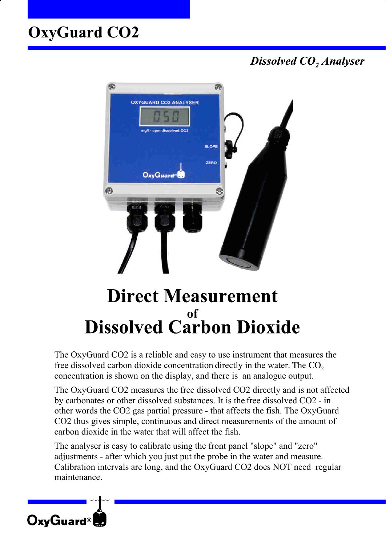# **OxyGuard CO2**

**Dissolved CO, Analyser** 



# **Direct Measurement** of **Dissolved Carbon Dioxide**

The OxyGuard CO2 is a reliable and easy to use instrument that measures the free dissolved carbon dioxide concentration directly in the water. The  $CO<sub>2</sub>$ concentration is shown on the display, and there is an analogue output.

The OxyGuard CO2 measures the free dissolved CO2 directly and is not affected by carbonates or other dissolved substances. It is the free dissolved CO2 - in other words the CO2 gas partial pressure - that affects the fish. The OxyGuard CO2 thus gives simple, continuous and direct measurements of the amount of carbon dioxide in the water that will affect the fish.

The analyser is easy to calibrate using the front panel "slope" and "zero" adjustments - after which you just put the probe in the water and measure. Calibration intervals are long, and the OxyGuard CO2 does NOT need regular maintenance.